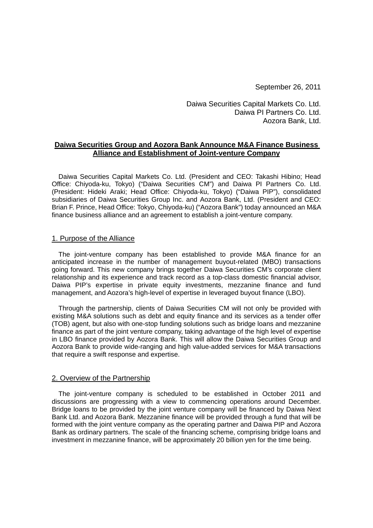September 26, 2011

Daiwa Securities Capital Markets Co. Ltd. Daiwa PI Partners Co. Ltd. Aozora Bank, Ltd.

## **Daiwa Securities Group and Aozora Bank Announce M&A Finance Business Alliance and Establishment of Joint-venture Company**

Daiwa Securities Capital Markets Co. Ltd. (President and CEO: Takashi Hibino; Head Office: Chiyoda-ku, Tokyo) ("Daiwa Securities CM") and Daiwa PI Partners Co. Ltd. (President: Hideki Araki; Head Office: Chiyoda-ku, Tokyo) ("Daiwa PIP"), consolidated subsidiaries of Daiwa Securities Group Inc. and Aozora Bank, Ltd. (President and CEO: Brian F. Prince, Head Office: Tokyo, Chiyoda-ku) ("Aozora Bank") today announced an M&A finance business alliance and an agreement to establish a joint-venture company.

### 1. Purpose of the Alliance

The joint-venture company has been established to provide M&A finance for an anticipated increase in the number of management buyout-related (MBO) transactions going forward. This new company brings together Daiwa Securities CM's corporate client relationship and its experience and track record as a top-class domestic financial advisor, Daiwa PIP's expertise in private equity investments, mezzanine finance and fund management, and Aozora's high-level of expertise in leveraged buyout finance (LBO).

Through the partnership, clients of Daiwa Securities CM will not only be provided with existing M&A solutions such as debt and equity finance and its services as a tender offer (TOB) agent, but also with one-stop funding solutions such as bridge loans and mezzanine finance as part of the joint venture company, taking advantage of the high level of expertise in LBO finance provided by Aozora Bank. This will allow the Daiwa Securities Group and Aozora Bank to provide wide-ranging and high value-added services for M&A transactions that require a swift response and expertise.

#### 2. Overview of the Partnership

The joint-venture company is scheduled to be established in October 2011 and discussions are progressing with a view to commencing operations around December. Bridge loans to be provided by the joint venture company will be financed by Daiwa Next Bank Ltd. and Aozora Bank. Mezzanine finance will be provided through a fund that will be formed with the joint venture company as the operating partner and Daiwa PIP and Aozora Bank as ordinary partners. The scale of the financing scheme, comprising bridge loans and investment in mezzanine finance, will be approximately 20 billion yen for the time being.